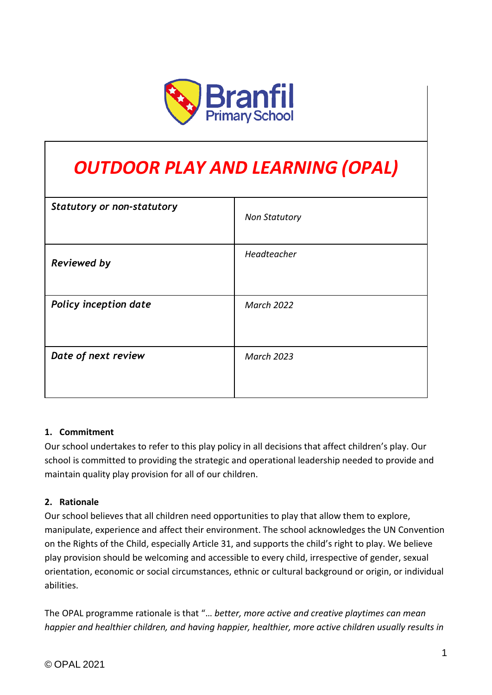

# *OUTDOOR PLAY AND LEARNING (OPAL)*

| <b>Statutory or non-statutory</b> | <b>Non Statutory</b> |
|-----------------------------------|----------------------|
| <b>Reviewed by</b>                | Headteacher          |
| Policy inception date             | <b>March 2022</b>    |
| Date of next review               | <b>March 2023</b>    |

#### **1. Commitment**

Our school undertakes to refer to this play policy in all decisions that affect children's play. Our school is committed to providing the strategic and operational leadership needed to provide and maintain quality play provision for all of our children.

#### **2. Rationale**

Our school believes that all children need opportunities to play that allow them to explore, manipulate, experience and affect their environment. The school acknowledges the UN Convention on the Rights of the Child, especially Article 31, and supports the child's right to play. We believe play provision should be welcoming and accessible to every child, irrespective of gender, sexual orientation, economic or social circumstances, ethnic or cultural background or origin, or individual abilities.

The OPAL programme rationale is that "… *better, more active and creative playtimes can mean happier and healthier children, and having happier, healthier, more active children usually results in*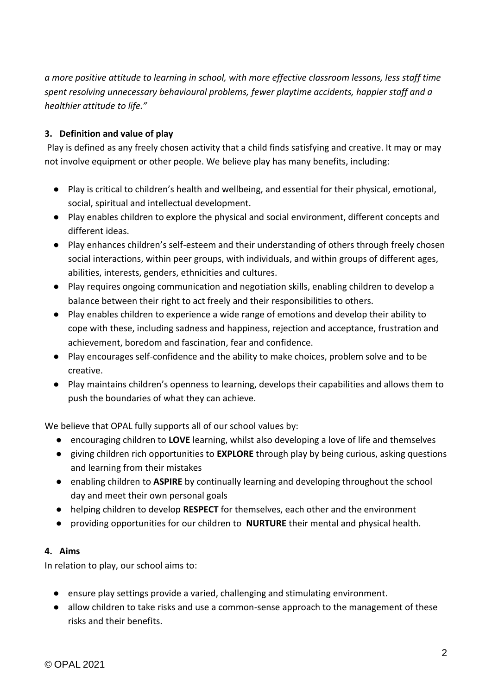*a more positive attitude to learning in school, with more effective classroom lessons, less staff time spent resolving unnecessary behavioural problems, fewer playtime accidents, happier staff and a healthier attitude to life."*

## **3. Definition and value of play**

Play is defined as any freely chosen activity that a child finds satisfying and creative. It may or may not involve equipment or other people. We believe play has many benefits, including:

- Play is critical to children's health and wellbeing, and essential for their physical, emotional, social, spiritual and intellectual development.
- Play enables children to explore the physical and social environment, different concepts and different ideas.
- Play enhances children's self-esteem and their understanding of others through freely chosen social interactions, within peer groups, with individuals, and within groups of different ages, abilities, interests, genders, ethnicities and cultures.
- Play requires ongoing communication and negotiation skills, enabling children to develop a balance between their right to act freely and their responsibilities to others.
- Play enables children to experience a wide range of emotions and develop their ability to cope with these, including sadness and happiness, rejection and acceptance, frustration and achievement, boredom and fascination, fear and confidence.
- Play encourages self-confidence and the ability to make choices, problem solve and to be creative.
- Play maintains children's openness to learning, develops their capabilities and allows them to push the boundaries of what they can achieve.

We believe that OPAL fully supports all of our school values by:

- encouraging children to **LOVE** learning, whilst also developing a love of life and themselves
- giving children rich opportunities to **EXPLORE** through play by being curious, asking questions and learning from their mistakes
- enabling children to **ASPIRE** by continually learning and developing throughout the school day and meet their own personal goals
- helping children to develop **RESPECT** for themselves, each other and the environment
- providing opportunities for our children to **NURTURE** their mental and physical health.

#### **4. Aims**

In relation to play, our school aims to:

- ensure play settings provide a varied, challenging and stimulating environment.
- allow children to take risks and use a common-sense approach to the management of these risks and their benefits.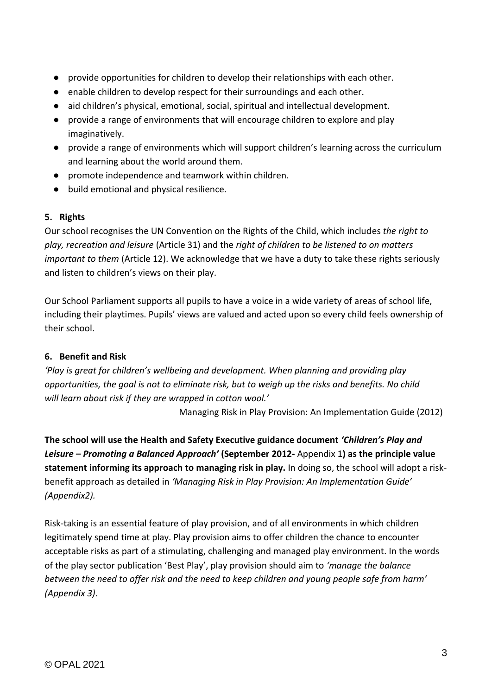- provide opportunities for children to develop their relationships with each other.
- enable children to develop respect for their surroundings and each other.
- aid children's physical, emotional, social, spiritual and intellectual development.
- provide a range of environments that will encourage children to explore and play imaginatively.
- provide a range of environments which will support children's learning across the curriculum and learning about the world around them.
- promote independence and teamwork within children.
- build emotional and physical resilience.

#### **5. Rights**

Our school recognises the UN Convention on the Rights of the Child, which includes *the right to play, recreation and leisure* (Article 31) and the *right of children to be listened to on matters important to them* (Article 12). We acknowledge that we have a duty to take these rights seriously and listen to children's views on their play.

Our School Parliament supports all pupils to have a voice in a wide variety of areas of school life, including their playtimes. Pupils' views are valued and acted upon so every child feels ownership of their school.

#### **6. Benefit and Risk**

*'Play is great for children's wellbeing and development. When planning and providing play opportunities, the goal is not to eliminate risk, but to weigh up the risks and benefits. No child will learn about risk if they are wrapped in cotton wool.'*

Managing Risk in Play Provision: An Implementation Guide (2012)

**The school will use the Health and Safety Executive guidance document** *'Children's Play and Leisure – Promoting a Balanced Approach'* **(September 2012-** Appendix 1**) as the principle value statement informing its approach to managing risk in play.** In doing so, the school will adopt a riskbenefit approach as detailed in *'Managing Risk in Play Provision: An Implementation Guide' (Appendix2).*

Risk-taking is an essential feature of play provision, and of all environments in which children legitimately spend time at play. Play provision aims to offer children the chance to encounter acceptable risks as part of a stimulating, challenging and managed play environment. In the words of the play sector publication 'Best Play', play provision should aim to *'manage the balance between the need to offer risk and the need to keep children and young people safe from harm' (Appendix 3)*.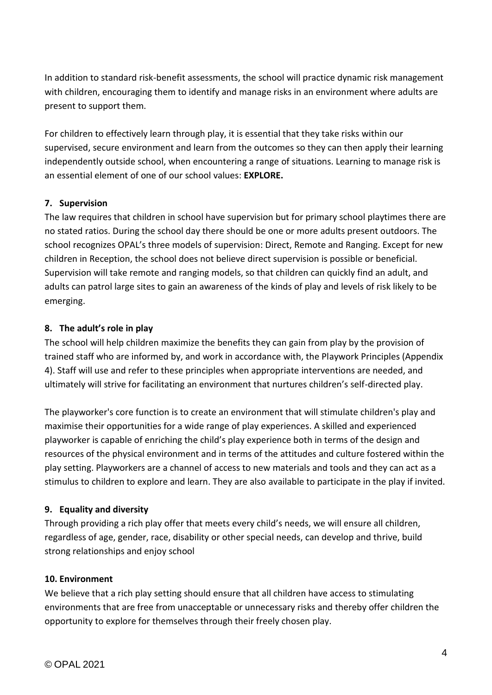In addition to standard risk-benefit assessments, the school will practice dynamic risk management with children, encouraging them to identify and manage risks in an environment where adults are present to support them.

For children to effectively learn through play, it is essential that they take risks within our supervised, secure environment and learn from the outcomes so they can then apply their learning independently outside school, when encountering a range of situations. Learning to manage risk is an essential element of one of our school values: **EXPLORE.** 

## **7. Supervision**

The law requires that children in school have supervision but for primary school playtimes there are no stated ratios. During the school day there should be one or more adults present outdoors. The school recognizes OPAL's three models of supervision: Direct, Remote and Ranging. Except for new children in Reception, the school does not believe direct supervision is possible or beneficial. Supervision will take remote and ranging models, so that children can quickly find an adult, and adults can patrol large sites to gain an awareness of the kinds of play and levels of risk likely to be emerging.

## **8. The adult's role in play**

The school will help children maximize the benefits they can gain from play by the provision of trained staff who are informed by, and work in accordance with, the Playwork Principles (Appendix 4). Staff will use and refer to these principles when appropriate interventions are needed, and ultimately will strive for facilitating an environment that nurtures children's self-directed play.

The playworker's core function is to create an environment that will stimulate children's play and maximise their opportunities for a wide range of play experiences. A skilled and experienced playworker is capable of enriching the child's play experience both in terms of the design and resources of the physical environment and in terms of the attitudes and culture fostered within the play setting. Playworkers are a channel of access to new materials and tools and they can act as a stimulus to children to explore and learn. They are also available to participate in the play if invited.

#### **9. Equality and diversity**

Through providing a rich play offer that meets every child's needs, we will ensure all children, regardless of age, gender, race, disability or other special needs, can develop and thrive, build strong relationships and enjoy school

#### **10. Environment**

We believe that a rich play setting should ensure that all children have access to stimulating environments that are free from unacceptable or unnecessary risks and thereby offer children the opportunity to explore for themselves through their freely chosen play.